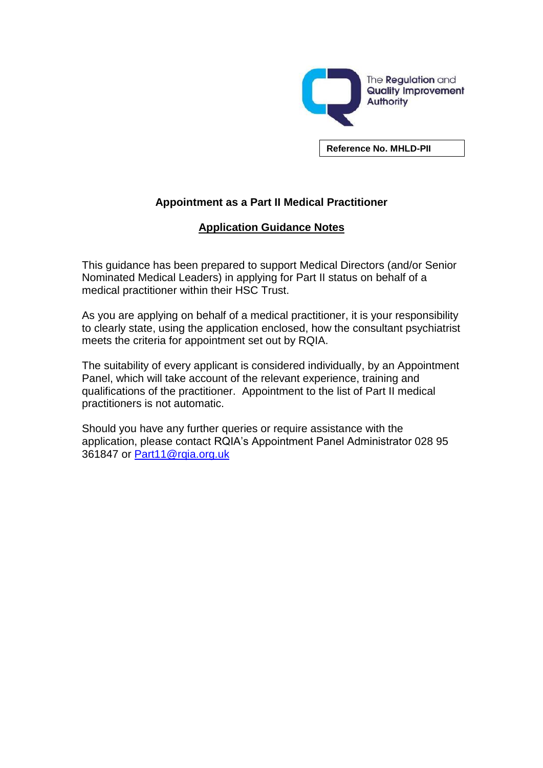

**Reference No. MHLD-PII**

## **Appointment as a Part II Medical Practitioner**

## **Application Guidance Notes**

This guidance has been prepared to support Medical Directors (and/or Senior Nominated Medical Leaders) in applying for Part II status on behalf of a medical practitioner within their HSC Trust.

As you are applying on behalf of a medical practitioner, it is your responsibility to clearly state, using the application enclosed, how the consultant psychiatrist meets the criteria for appointment set out by RQIA.

The suitability of every applicant is considered individually, by an Appointment Panel, which will take account of the relevant experience, training and qualifications of the practitioner. Appointment to the list of Part II medical practitioners is not automatic.

Should you have any further queries or require assistance with the application, please contact RQIA's Appointment Panel Administrator 028 95 361847 or Part11@rgia.org.uk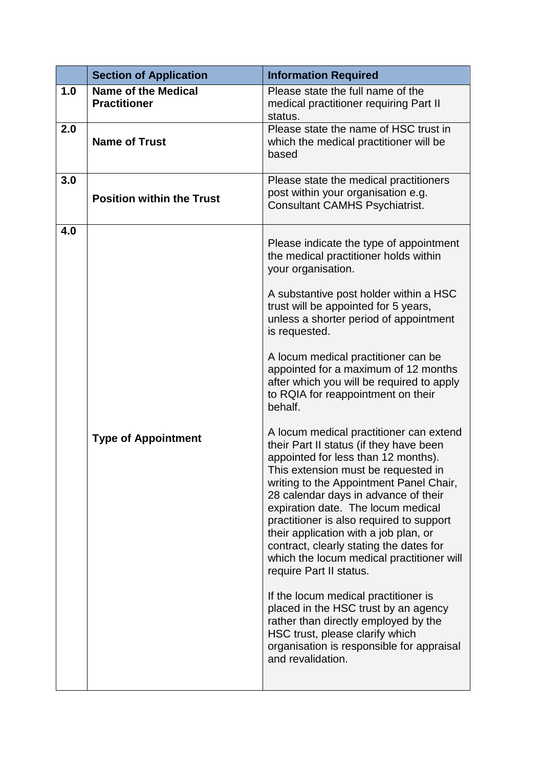|     | <b>Section of Application</b>                     | <b>Information Required</b>                                                                                                                                                                                                                                                                                                                                                                                                                                                                                                                                                                                                                                                                                                                                                                                                                                                                                                                                                                                                                                                                                                                                        |
|-----|---------------------------------------------------|--------------------------------------------------------------------------------------------------------------------------------------------------------------------------------------------------------------------------------------------------------------------------------------------------------------------------------------------------------------------------------------------------------------------------------------------------------------------------------------------------------------------------------------------------------------------------------------------------------------------------------------------------------------------------------------------------------------------------------------------------------------------------------------------------------------------------------------------------------------------------------------------------------------------------------------------------------------------------------------------------------------------------------------------------------------------------------------------------------------------------------------------------------------------|
| 1.0 | <b>Name of the Medical</b><br><b>Practitioner</b> | Please state the full name of the<br>medical practitioner requiring Part II<br>status.                                                                                                                                                                                                                                                                                                                                                                                                                                                                                                                                                                                                                                                                                                                                                                                                                                                                                                                                                                                                                                                                             |
| 2.0 | <b>Name of Trust</b>                              | Please state the name of HSC trust in<br>which the medical practitioner will be<br>based                                                                                                                                                                                                                                                                                                                                                                                                                                                                                                                                                                                                                                                                                                                                                                                                                                                                                                                                                                                                                                                                           |
| 3.0 | <b>Position within the Trust</b>                  | Please state the medical practitioners<br>post within your organisation e.g.<br><b>Consultant CAMHS Psychiatrist.</b>                                                                                                                                                                                                                                                                                                                                                                                                                                                                                                                                                                                                                                                                                                                                                                                                                                                                                                                                                                                                                                              |
| 4.0 | <b>Type of Appointment</b>                        | Please indicate the type of appointment<br>the medical practitioner holds within<br>your organisation.<br>A substantive post holder within a HSC<br>trust will be appointed for 5 years,<br>unless a shorter period of appointment<br>is requested.<br>A locum medical practitioner can be<br>appointed for a maximum of 12 months<br>after which you will be required to apply<br>to RQIA for reappointment on their<br>behalf.<br>A locum medical practitioner can extend<br>their Part II status (if they have been<br>appointed for less than 12 months).<br>This extension must be requested in<br>writing to the Appointment Panel Chair,<br>28 calendar days in advance of their<br>expiration date. The locum medical<br>practitioner is also required to support<br>their application with a job plan, or<br>contract, clearly stating the dates for<br>which the locum medical practitioner will<br>require Part II status.<br>If the locum medical practitioner is<br>placed in the HSC trust by an agency<br>rather than directly employed by the<br>HSC trust, please clarify which<br>organisation is responsible for appraisal<br>and revalidation. |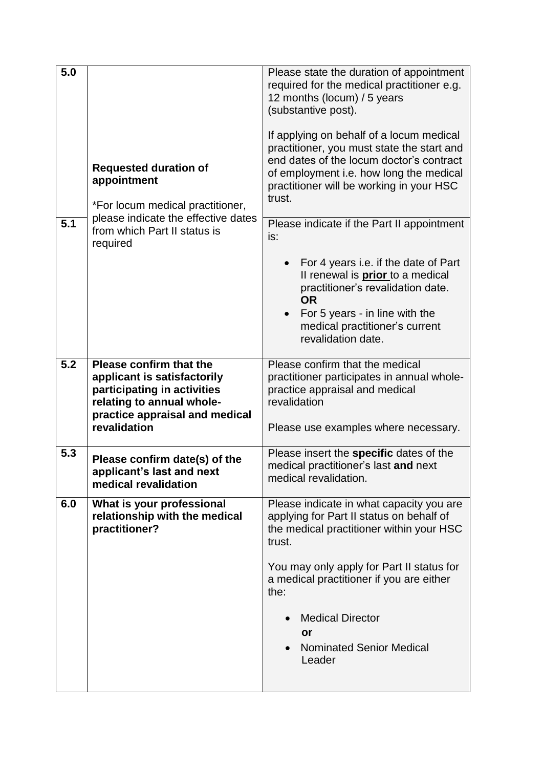| 5.0 | <b>Requested duration of</b><br>appointment<br>*For locum medical practitioner,                                                                                      | Please state the duration of appointment<br>required for the medical practitioner e.g.<br>12 months (locum) / 5 years<br>(substantive post).<br>If applying on behalf of a locum medical<br>practitioner, you must state the start and<br>end dates of the locum doctor's contract<br>of employment i.e. how long the medical<br>practitioner will be working in your HSC<br>trust. |
|-----|----------------------------------------------------------------------------------------------------------------------------------------------------------------------|-------------------------------------------------------------------------------------------------------------------------------------------------------------------------------------------------------------------------------------------------------------------------------------------------------------------------------------------------------------------------------------|
| 5.1 | please indicate the effective dates<br>from which Part II status is<br>required                                                                                      | Please indicate if the Part II appointment<br>is:                                                                                                                                                                                                                                                                                                                                   |
|     |                                                                                                                                                                      | For 4 years i.e. if the date of Part<br>Il renewal is <i>prior</i> to a medical<br>practitioner's revalidation date.<br><b>OR</b><br>For 5 years - in line with the<br>$\bullet$<br>medical practitioner's current<br>revalidation date.                                                                                                                                            |
| 5.2 | Please confirm that the<br>applicant is satisfactorily<br>participating in activities<br>relating to annual whole-<br>practice appraisal and medical<br>revalidation | Please confirm that the medical<br>practitioner participates in annual whole-<br>practice appraisal and medical<br>revalidation<br>Please use examples where necessary.                                                                                                                                                                                                             |
| 5.3 | Please confirm date(s) of the<br>applicant's last and next<br>medical revalidation                                                                                   | Please insert the specific dates of the<br>medical practitioner's last and next<br>medical revalidation.                                                                                                                                                                                                                                                                            |
| 6.0 | What is your professional<br>relationship with the medical<br>practitioner?                                                                                          | Please indicate in what capacity you are<br>applying for Part II status on behalf of<br>the medical practitioner within your HSC<br>trust.<br>You may only apply for Part II status for<br>a medical practitioner if you are either<br>the:<br><b>Medical Director</b><br>or<br><b>Nominated Senior Medical</b><br>Leader                                                           |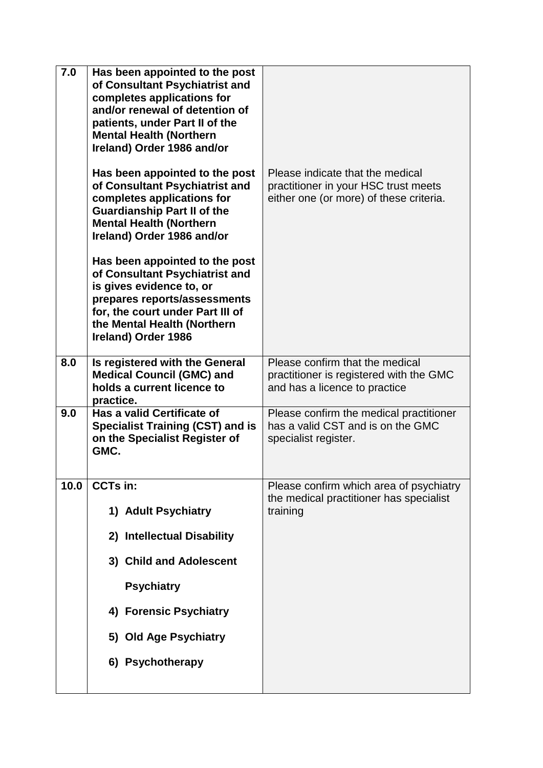| 7.0  | Has been appointed to the post<br>of Consultant Psychiatrist and<br>completes applications for<br>and/or renewal of detention of<br>patients, under Part II of the<br><b>Mental Health (Northern</b><br>Ireland) Order 1986 and/or<br>Has been appointed to the post<br>of Consultant Psychiatrist and<br>completes applications for<br><b>Guardianship Part II of the</b><br><b>Mental Health (Northern</b><br>Ireland) Order 1986 and/or<br>Has been appointed to the post<br>of Consultant Psychiatrist and<br>is gives evidence to, or<br>prepares reports/assessments<br>for, the court under Part III of<br>the Mental Health (Northern<br>Ireland) Order 1986 | Please indicate that the medical<br>practitioner in your HSC trust meets<br>either one (or more) of these criteria. |
|------|----------------------------------------------------------------------------------------------------------------------------------------------------------------------------------------------------------------------------------------------------------------------------------------------------------------------------------------------------------------------------------------------------------------------------------------------------------------------------------------------------------------------------------------------------------------------------------------------------------------------------------------------------------------------|---------------------------------------------------------------------------------------------------------------------|
| 8.0  | Is registered with the General<br><b>Medical Council (GMC) and</b><br>holds a current licence to<br>practice.                                                                                                                                                                                                                                                                                                                                                                                                                                                                                                                                                        | Please confirm that the medical<br>practitioner is registered with the GMC<br>and has a licence to practice         |
| 9.0  | Has a valid Certificate of<br><b>Specialist Training (CST) and is</b><br>on the Specialist Register of<br>GMC.                                                                                                                                                                                                                                                                                                                                                                                                                                                                                                                                                       | Please confirm the medical practitioner<br>has a valid CST and is on the GMC<br>specialist register.                |
| 10.0 | <b>CCTs in:</b><br>1) Adult Psychiatry<br>2) Intellectual Disability<br>3) Child and Adolescent<br><b>Psychiatry</b><br>4) Forensic Psychiatry<br>5) Old Age Psychiatry<br>6) Psychotherapy                                                                                                                                                                                                                                                                                                                                                                                                                                                                          | Please confirm which area of psychiatry<br>the medical practitioner has specialist<br>training                      |
|      |                                                                                                                                                                                                                                                                                                                                                                                                                                                                                                                                                                                                                                                                      |                                                                                                                     |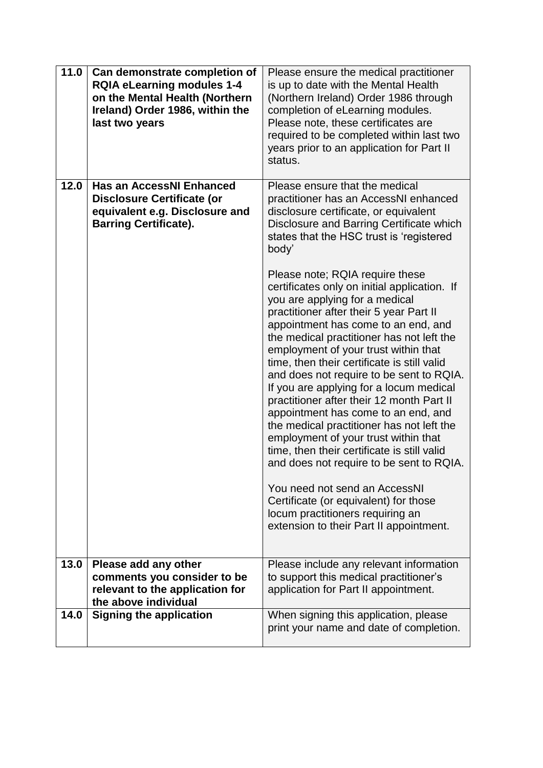| 11.0 | Can demonstrate completion of<br><b>RQIA eLearning modules 1-4</b><br>on the Mental Health (Northern<br>Ireland) Order 1986, within the<br>last two years | Please ensure the medical practitioner<br>is up to date with the Mental Health<br>(Northern Ireland) Order 1986 through<br>completion of eLearning modules.<br>Please note, these certificates are<br>required to be completed within last two<br>years prior to an application for Part II<br>status.                                                                                                                                                                                                                                                                                                                                                                                                                                                                                                                                                                                                                                                                                                                                                                           |
|------|-----------------------------------------------------------------------------------------------------------------------------------------------------------|----------------------------------------------------------------------------------------------------------------------------------------------------------------------------------------------------------------------------------------------------------------------------------------------------------------------------------------------------------------------------------------------------------------------------------------------------------------------------------------------------------------------------------------------------------------------------------------------------------------------------------------------------------------------------------------------------------------------------------------------------------------------------------------------------------------------------------------------------------------------------------------------------------------------------------------------------------------------------------------------------------------------------------------------------------------------------------|
| 12.0 | <b>Has an AccessNI Enhanced</b><br><b>Disclosure Certificate (or</b><br>equivalent e.g. Disclosure and<br><b>Barring Certificate).</b>                    | Please ensure that the medical<br>practitioner has an AccessNI enhanced<br>disclosure certificate, or equivalent<br>Disclosure and Barring Certificate which<br>states that the HSC trust is 'registered<br>body'<br>Please note; RQIA require these<br>certificates only on initial application. If<br>you are applying for a medical<br>practitioner after their 5 year Part II<br>appointment has come to an end, and<br>the medical practitioner has not left the<br>employment of your trust within that<br>time, then their certificate is still valid<br>and does not require to be sent to RQIA.<br>If you are applying for a locum medical<br>practitioner after their 12 month Part II<br>appointment has come to an end, and<br>the medical practitioner has not left the<br>employment of your trust within that<br>time, then their certificate is still valid<br>and does not require to be sent to RQIA.<br>You need not send an AccessNI<br>Certificate (or equivalent) for those<br>locum practitioners requiring an<br>extension to their Part II appointment. |
| 13.0 | Please add any other<br>comments you consider to be<br>relevant to the application for<br>the above individual                                            | Please include any relevant information<br>to support this medical practitioner's<br>application for Part II appointment.                                                                                                                                                                                                                                                                                                                                                                                                                                                                                                                                                                                                                                                                                                                                                                                                                                                                                                                                                        |
| 14.0 | <b>Signing the application</b>                                                                                                                            | When signing this application, please<br>print your name and date of completion.                                                                                                                                                                                                                                                                                                                                                                                                                                                                                                                                                                                                                                                                                                                                                                                                                                                                                                                                                                                                 |